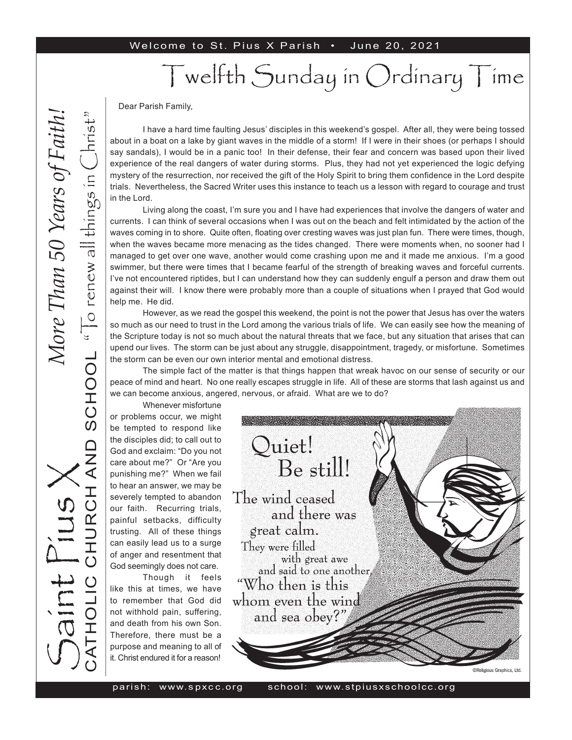#### Welcome to St. Pius X Parish . June 20, 2021

# Twelfth Sunday in Ordinary Time

Dear Parish Family,

I have a hard time faulting Jesus' disciples in this weekend's gospel. After all, they were being tossed about in a boat on a lake by giant waves in the middle of a storm! If I were in their shoes (or perhaps I should say sandals), I would be in a panic too! In their defense, their fear and concern was based upon their lived experience of the real dangers of water during storms. Plus, they had not yet experienced the logic defying mystery of the resurrection, nor received the gift of the Holy Spirit to bring them confidence in the Lord despite trials. Nevertheless, the Sacred Writer uses this instance to teach us a lesson with regard to courage and trust in the Lord.

Living along the coast, I'm sure you and I have had experiences that involve the dangers of water and currents. I can think of several occasions when I was out on the beach and felt intimidated by the action of the waves coming in to shore. Quite often, floating over cresting waves was just plan fun. There were times, though, when the waves became more menacing as the tides changed. There were moments when, no sooner had I managed to get over one wave, another would come crashing upon me and it made me anxious. I'm a good swimmer, but there were times that I became fearful of the strength of breaking waves and forceful currents. I've not encountered riptides, but I can understand how they can suddenly engulf a person and draw them out against their will. I know there were probably more than a couple of situations when I prayed that God would help me. He did.

However, as we read the gospel this weekend, the point is not the power that Jesus has over the waters so much as our need to trust in the Lord among the various trials of life. We can easily see how the meaning of the Scripture today is not so much about the natural threats that we face, but any situation that arises that can upend our lives. The storm can be just about any struggle, disappointment, tragedy, or misfortune. Sometimes the storm can be even our own interior mental and emotional distress.

The simple fact of the matter is that things happen that wreak havoc on our sense of security or our peace of mind and heart. No one really escapes struggle in life. All of these are storms that lash against us and we can become anxious, angered, nervous, or afraid. What are we to do?

Whenever misfortune or problems occur, we might be tempted to respond like the disciples did; to call out to God and exclaim: "Do you not care about me?" Or "Are you punishing me?" When we fail to hear an answer, we may be severely tempted to abandon our faith. Recurring trials, painful setbacks, difficulty trusting. All of these things can easily lead us to a surge of anger and resentment that God seemingly does not care.

Though it feels like this at times, we have to remember that God did not withhold pain, suffering, and death from his own Son. Therefore, there must be a purpose and meaning to all of it. Christ endured it for a reason!

S

aint Pius X

CATHOLIC CHURCH AND SCHOOL

**QNA** 

" $\overline{C}$  renew all things in  $\overline{C}$ hrist"

SCHOOL "To renew all things in

*More Than 50 Years of Faith!*More Than 50 Years of Faith



parish: www. s px c c.or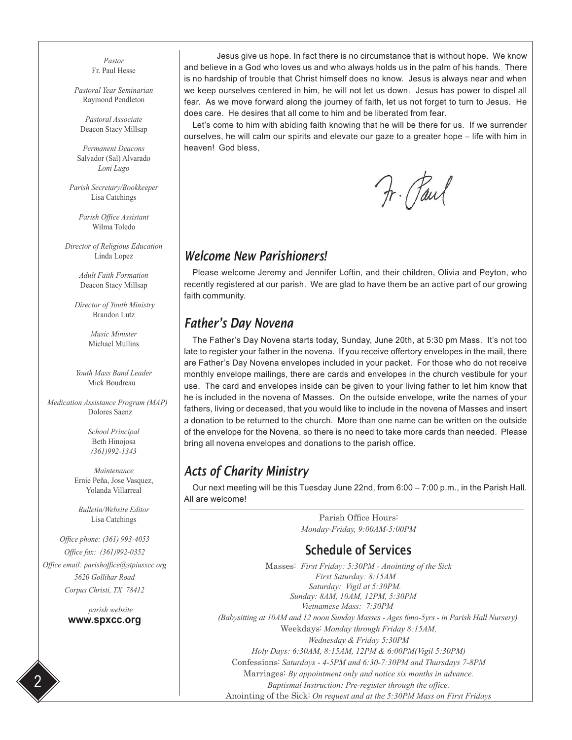*Pastor* Fr. Paul Hesse

*Pastoral Year Seminarian* Raymond Pendleton

*Pastoral Associate* Deacon Stacy Millsap

*Permanent Deacons* Salvador (Sal) Alvarado *Loni Lugo*

*Parish Secretary/Bookkeeper* Lisa Catchings

*Parish Office Assistant* Wilma Toledo

*Director of Religious Education* Linda Lopez

> *Adult Faith Formation* Deacon Stacy Millsap

 *Director of Youth Ministry* Brandon Lutz

> *Music Minister* Michael Mullins

*Youth Mass Band Leader* Mick Boudreau

 *Medication Assistance Program (MAP)* Dolores Saenz

> *School Principal* Beth Hinojosa *(361)992-1343*

*Maintenance* Ernie Peña, Jose Vasquez, Yolanda Villarreal

*Bulletin/Website Editor* Lisa Catchings

*Office phone: (361) 993-4053 Office fax: (361)992-0352 Office email: parishoffice@stpiusxcc.org 5620 Gollihar Road Corpus Christi, TX 78412*

> *parish website* **www.spxcc.org**

Jesus give us hope. In fact there is no circumstance that is without hope. We know and believe in a God who loves us and who always holds us in the palm of his hands. There is no hardship of trouble that Christ himself does no know. Jesus is always near and when we keep ourselves centered in him, he will not let us down. Jesus has power to dispel all fear. As we move forward along the journey of faith, let us not forget to turn to Jesus. He does care. He desires that all come to him and be liberated from fear.

Let's come to him with abiding faith knowing that he will be there for us. If we surrender ourselves, he will calm our spirits and elevate our gaze to a greater hope – life with him in heaven! God bless,

Fr. Paul

#### *Welcome New Parishioners!*

Please welcome Jeremy and Jennifer Loftin, and their children, Olivia and Peyton, who recently registered at our parish. We are glad to have them be an active part of our growing faith community.

#### *Father's Day Novena*

The Father's Day Novena starts today, Sunday, June 20th, at 5:30 pm Mass. It's not too late to register your father in the novena. If you receive offertory envelopes in the mail, there are Father's Day Novena envelopes included in your packet. For those who do not receive monthly envelope mailings, there are cards and envelopes in the church vestibule for your use. The card and envelopes inside can be given to your living father to let him know that he is included in the novena of Masses. On the outside envelope, write the names of your fathers, living or deceased, that you would like to include in the novena of Masses and insert a donation to be returned to the church. More than one name can be written on the outside of the envelope for the Novena, so there is no need to take more cards than needed. Please bring all novena envelopes and donations to the parish office.

## *Acts of Charity Ministry*

Our next meeting will be this Tuesday June 22nd, from 6:00 – 7:00 p.m., in the Parish Hall. All are welcome!

> Parish Office Hours: *Monday-Friday, 9:00AM-5:00PM*

#### Schedule of Services

Masses: *First Friday: 5:30PM - Anointing of the Sick First Saturday: 8:15AM Saturday: Vigil at 5:30PM. Sunday: 8AM, 10AM, 12PM, 5:30PM Vietnamese Mass: 7:30PM (Babysitting at 10AM and 12 noon Sunday Masses - Ages 6mo-5yrs - in Parish Hall Nursery)* Weekdays: *Monday through Friday 8:15AM, Wednesday & Friday 5:30PM Holy Days: 6:30AM, 8:15AM, 12PM & 6:00PM(Vigil 5:30PM)* Confessions: *Saturdays - 4-5PM and 6:30-7:30PM and Thursdays 7-8PM* Marriages: *By appointment only and notice six months in advance. Baptismal Instruction: Pre-register through the office.* Anointing of the Sick: *On request and at the 5:30PM Mass on First Fridays*

2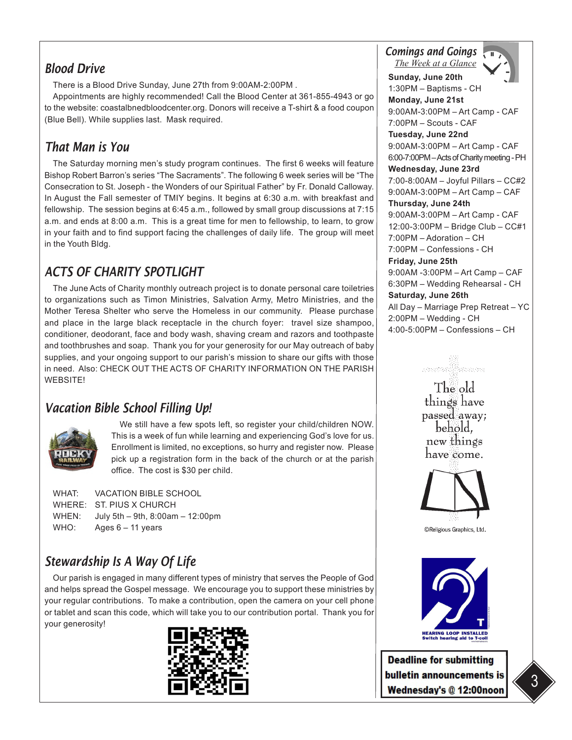#### *Blood Drive*

There is a Blood Drive Sunday, June 27th from 9:00AM-2:00PM .

Appointments are highly recommended! Call the Blood Center at 361-855-4943 or go to the website: coastalbnedbloodcenter.org. Donors will receive a T-shirt & a food coupon (Blue Bell). While supplies last. Mask required.

#### *That Man is You*

The Saturday morning men's study program continues. The first 6 weeks will feature Bishop Robert Barron's series "The Sacraments". The following 6 week series will be "The Consecration to St. Joseph - the Wonders of our Spiritual Father" by Fr. Donald Calloway. In August the Fall semester of TMIY begins. It begins at 6:30 a.m. with breakfast and fellowship. The session begins at 6:45 a.m., followed by small group discussions at 7:15 a.m. and ends at 8:00 a.m. This is a great time for men to fellowship, to learn, to grow in your faith and to find support facing the challenges of daily life. The group will meet in the Youth Bldg.

# *ACTS OF CHARITY SPOTLIGHT*

The June Acts of Charity monthly outreach project is to donate personal care toiletries to organizations such as Timon Ministries, Salvation Army, Metro Ministries, and the Mother Teresa Shelter who serve the Homeless in our community. Please purchase and place in the large black receptacle in the church foyer: travel size shampoo, conditioner, deodorant, face and body wash, shaving cream and razors and toothpaste and toothbrushes and soap. Thank you for your generosity for our May outreach of baby supplies, and your ongoing support to our parish's mission to share our gifts with those in need. Also: CHECK OUT THE ACTS OF CHARITY INFORMATION ON THE PARISH WEBSITE!

#### *Vacation Bible School Filling Up!*



We still have a few spots left, so register your child/children NOW. This is a week of fun while learning and experiencing God's love for us. Enrollment is limited, no exceptions, so hurry and register now. Please pick up a registration form in the back of the church or at the parish office. The cost is \$30 per child.

| WHAT: | <b>VACATION BIBLE SCHOOL</b>         |
|-------|--------------------------------------|
|       | WHERE: ST. PIUS X CHURCH             |
| WHEN: | July 5th $-$ 9th, 8:00am $-$ 12:00pm |
| WHO:  | Ages $6 - 11$ years                  |
|       |                                      |

## *Stewardship Is A Way Of Life*

Our parish is engaged in many different types of ministry that serves the People of God and helps spread the Gospel message. We encourage you to support these ministries by your regular contributions. To make a contribution, open the camera on your cell phone or tablet and scan this code, which will take you to our contribution portal. Thank you for your generosity!



*Comings and Goings*





**Sunday, June 20th**  1:30PM – Baptisms - CH **Monday, June 21st**  9:00AM-3:00PM – Art Camp - CAF 7:00PM – Scouts - CAF **Tuesday, June 22nd**  9:00AM-3:00PM – Art Camp - CAF 6:00-7:00PM – Acts of Charity meeting - PH **Wednesday, June 23rd**  7:00-8:00AM – Joyful Pillars – CC#2 9:00AM-3:00PM – Art Camp – CAF **Thursday, June 24th**  9:00AM-3:00PM – Art Camp - CAF 12:00-3:00PM – Bridge Club – CC#1 7:00PM – Adoration – CH 7:00PM – Confessions - CH **Friday, June 25th** 9:00AM -3:00PM – Art Camp – CAF 6:30PM – Wedding Rehearsal - CH

**Saturday, June 26th**  All Day – Marriage Prep Retreat – YC 2:00PM – Wedding - CH 4:00-5:00PM – Confessions – CH

> ana<br>Adamayan (1940) The old things have passed away; behold, new things have come.



©Religious Graphics, Ltd.



**Deadline for submitting** bulletin announcements is Wednesday's @ 12:00noon